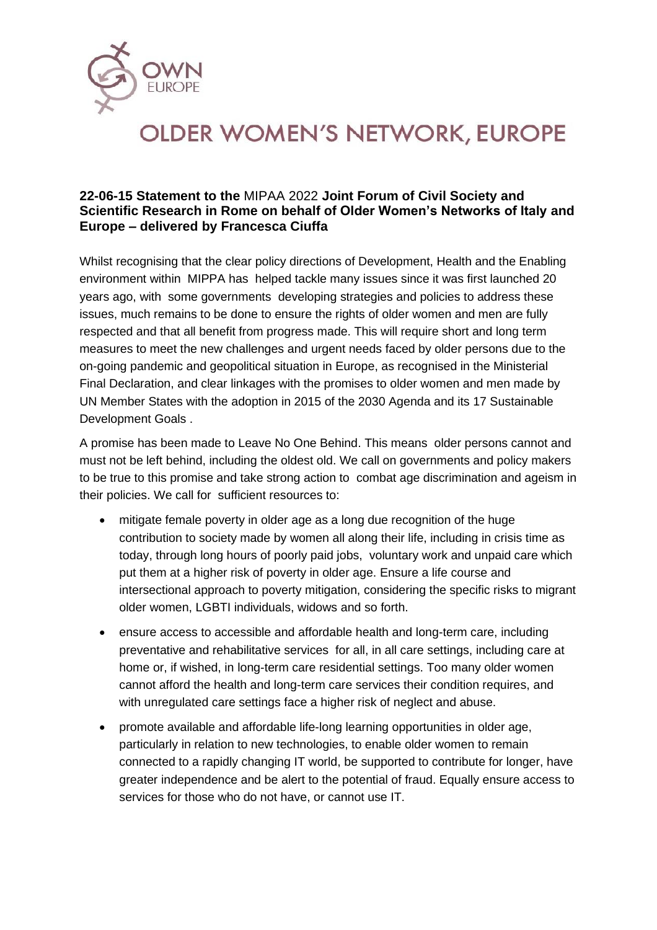

## **OLDER WOMEN'S NETWORK, EUROPE**

## **22-06-15 Statement to the** [MIPAA 2022](https://mipaa20rome.it/) **Joint Forum of Civil Society and Scientific Research in Rome on behalf of Older Women's Networks of Italy and Europe – delivered by Francesca Ciuffa**

Whilst recognising that the clear policy directions of Development, Health and the Enabling environment within MIPPA has helped tackle many issues since it was first launched 20 years ago, with some governments developing strategies and policies to address these issues, much remains to be done to ensure the rights of older women and men are fully respected and that all benefit from progress made. This will require short and long term measures to meet the new challenges and urgent needs faced by older persons due to the on-going pandemic and geopolitical situation in Europe, as recognised in the Ministerial Final Declaration, and clear linkages with the promises to older women and men made by UN Member States with the adoption in 2015 of the 2030 Agenda and its 17 Sustainable Development Goals .

A promise has been made to Leave No One Behind. This means older persons cannot and must not be left behind, including the oldest old. We call on governments and policy makers to be true to this promise and take strong action to combat age discrimination and ageism in their policies. We call for sufficient resources to:

- mitigate female poverty in older age as a long due recognition of the huge contribution to society made by women all along their life, including in crisis time as today, through long hours of poorly paid jobs, voluntary work and unpaid care which put them at a higher risk of poverty in older age. Ensure a life course and intersectional approach to poverty mitigation, considering the specific risks to migrant older women, LGBTI individuals, widows and so forth.
- ensure access to accessible and affordable health and long-term care, including preventative and rehabilitative services for all, in all care settings, including care at home or, if wished, in long-term care residential settings. Too many older women cannot afford the health and long-term care services their condition requires, and with unregulated care settings face a higher risk of neglect and abuse.
- promote available and affordable life-long learning opportunities in older age, particularly in relation to new technologies, to enable older women to remain connected to a rapidly changing IT world, be supported to contribute for longer, have greater independence and be alert to the potential of fraud. Equally ensure access to services for those who do not have, or cannot use IT.